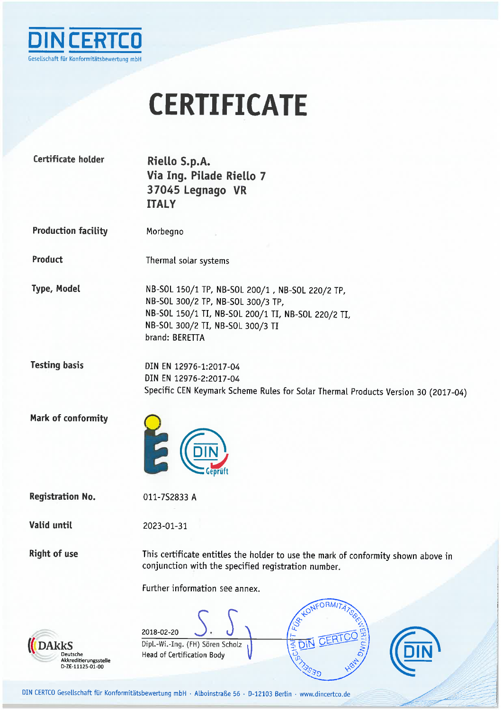

## **CERTIFICATE**

| Certificate holder                                           | Riello S.p.A.<br>Via Ing. Pilade Riello 7<br>37045 Legnago VR<br><b>ITALY</b>                                                                                                                    |
|--------------------------------------------------------------|--------------------------------------------------------------------------------------------------------------------------------------------------------------------------------------------------|
| <b>Production facility</b>                                   | Morbegno                                                                                                                                                                                         |
| Product                                                      | Thermal solar systems                                                                                                                                                                            |
| <b>Type, Model</b>                                           | NB-SOL 150/1 TP, NB-SOL 200/1, NB-SOL 220/2 TP,<br>NB-SOL 300/2 TP, NB-SOL 300/3 TP,<br>NB-SOL 150/1 TI, NB-SOL 200/1 TI, NB-SOL 220/2 TI,<br>NB-SOL 300/2 TI, NB-SOL 300/3 TI<br>brand: BERETTA |
| <b>Testing basis</b>                                         | DIN EN 12976-1:2017-04<br>DIN EN 12976-2:2017-04<br>Specific CEN Keymark Scheme Rules for Solar Thermal Products Version 30 (2017-04)                                                            |
| Mark of conformity                                           | E                                                                                                                                                                                                |
| <b>Registration No.</b>                                      | 011-7S2833 A                                                                                                                                                                                     |
| Valid until                                                  | 2023-01-31                                                                                                                                                                                       |
| <b>Right of use</b>                                          | This certificate entitles the holder to use the mark of conformity shown above in<br>conjunction with the specified registration number.<br>Further information see annex.                       |
| kkS<br>Deutsche<br>Akkreditierungsstelle<br>D-ZE-11125-01-00 | 2018-02-20<br>CERT <sub>(</sub><br><b>DIN</b><br>Dipl.-Wi.-Ing. (FH) Sören Scholz<br>CHAI<br>Head of Certification Body                                                                          |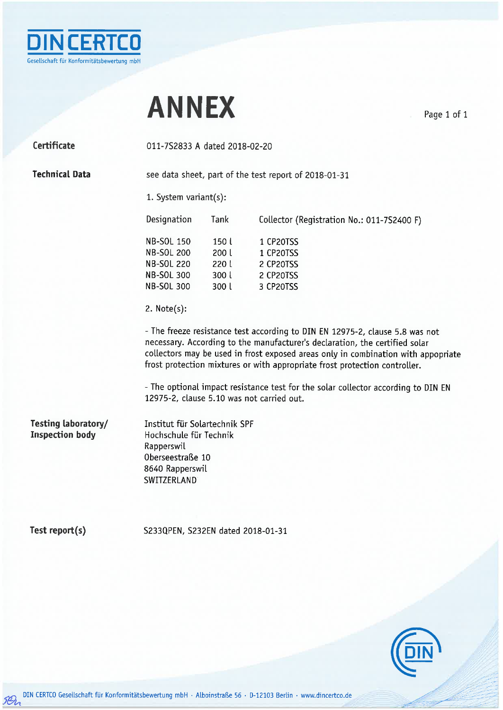

## **ANNEX**

Page 1 of 1

Certificate

011-7S2833 A dated 2018-02-20

**Technical Data** 

see data sheet, part of the test report of 2018-01-31

1. System variant(s):

| Designation       | Tank  | Collector (Registration No.: 011-7S2400 F) |
|-------------------|-------|--------------------------------------------|
| <b>NB-SOL 150</b> | 150 L | 1 CP20TSS                                  |
| <b>NB-SOL 200</b> | 200 L | 1 CP20TSS                                  |
| <b>NB-SOL 220</b> | 220 L | 2 CP20TSS                                  |
| <b>NB-SOL 300</b> | 300l  | 2 CP20TSS                                  |
| <b>NB-SOL 300</b> | 300l  | 3 CP20TSS                                  |

2.  $Note(s):$ 

- The freeze resistance test according to DIN EN 12975-2, clause 5.8 was not necessary. According to the manufacturer's declaration, the certified solar collectors may be used in frost exposed areas only in combination with appopriate frost protection mixtures or with appropriate frost protection controller.

- The optional impact resistance test for the solar collector according to DIN EN 12975-2, clause 5.10 was not carried out.

Testing laboratory/ **Inspection body** 

Institut für Solartechnik SPF Hochschule für Technik Rapperswil Oberseestraße 10 8640 Rapperswil SWITZERLAND

Test report(s)

5Br

S233QPEN, S232EN dated 2018-01-31

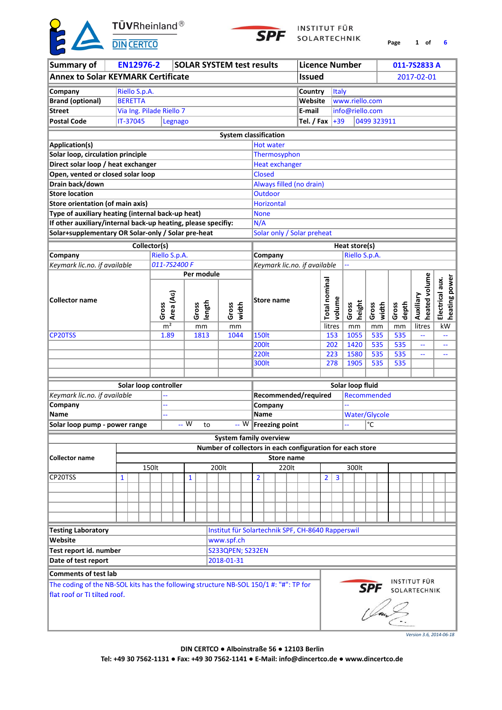TÜVRheinland<sup>®</sup>



INSTITUT FÜR SOLARTECHNIK

**Page 1 6 of**

| <b>Summary of</b>                                                                     |              |                | <b>EN12976-2</b> |                          |           |              | <b>SOLAR SYSTEM test results</b> |       |                               |  |                        |                |                                         |        |               |                                           | <b>Licence Number</b>                                     |                                        |                | 011-7S2833 A        |                                  |
|---------------------------------------------------------------------------------------|--------------|----------------|------------------|--------------------------|-----------|--------------|----------------------------------|-------|-------------------------------|--|------------------------|----------------|-----------------------------------------|--------|---------------|-------------------------------------------|-----------------------------------------------------------|----------------------------------------|----------------|---------------------|----------------------------------|
| <b>Annex to Solar KEYMARK Certificate</b>                                             |              |                |                  |                          |           |              |                                  |       |                               |  |                        |                |                                         |        | <b>Issued</b> |                                           |                                                           |                                        |                | 2017-02-01          |                                  |
|                                                                                       |              |                |                  |                          |           |              |                                  |       |                               |  |                        |                |                                         |        |               |                                           |                                                           |                                        |                |                     |                                  |
| Company                                                                               |              |                | Riello S.p.A.    |                          |           |              |                                  |       |                               |  |                        |                |                                         |        | Country       | Italy                                     |                                                           |                                        |                |                     |                                  |
| <b>Brand (optional)</b>                                                               |              | <b>BERETTA</b> |                  |                          |           |              |                                  |       |                               |  |                        |                |                                         |        | Website       |                                           | www.riello.com                                            |                                        |                |                     |                                  |
| <b>Street</b>                                                                         |              |                |                  | Via Ing. Pilade Riello 7 |           |              |                                  |       |                               |  |                        |                |                                         | E-mail |               |                                           | info@riello.com                                           |                                        |                |                     |                                  |
| <b>Postal Code</b>                                                                    |              | IT-37045       |                  |                          | Legnago   |              |                                  |       |                               |  |                        |                |                                         |        |               | Tel. / Fax $+39$                          |                                                           | 0499 323911                            |                |                     |                                  |
|                                                                                       |              |                |                  |                          |           |              |                                  |       | <b>System classification</b>  |  |                        |                |                                         |        |               |                                           |                                                           |                                        |                |                     |                                  |
| <b>Application(s)</b>                                                                 |              |                |                  |                          |           |              |                                  |       |                               |  | <b>Hot water</b>       |                |                                         |        |               |                                           |                                                           |                                        |                |                     |                                  |
| Solar loop, circulation principle                                                     |              |                |                  |                          |           |              |                                  |       |                               |  |                        |                | Thermosyphon                            |        |               |                                           |                                                           |                                        |                |                     |                                  |
| Direct solar loop / heat exchanger                                                    |              |                |                  |                          |           |              |                                  |       |                               |  |                        |                | <b>Heat exchanger</b>                   |        |               |                                           |                                                           |                                        |                |                     |                                  |
| Open, vented or closed solar loop                                                     |              |                |                  |                          |           |              |                                  |       |                               |  | <b>Closed</b>          |                |                                         |        |               |                                           |                                                           |                                        |                |                     |                                  |
| Drain back/down                                                                       |              |                |                  |                          |           |              |                                  |       |                               |  |                        |                | Always filled (no drain)                |        |               |                                           |                                                           |                                        |                |                     |                                  |
| <b>Store location</b>                                                                 |              |                |                  |                          |           |              |                                  |       |                               |  |                        | <b>Outdoor</b> |                                         |        |               |                                           |                                                           |                                        |                |                     |                                  |
| Store orientation (of main axis)                                                      |              |                |                  |                          |           |              |                                  |       |                               |  | <b>Horizontal</b>      |                |                                         |        |               |                                           |                                                           |                                        |                |                     |                                  |
|                                                                                       |              |                |                  |                          |           |              |                                  |       |                               |  |                        |                |                                         |        |               |                                           |                                                           |                                        |                |                     |                                  |
| Type of auxiliary heating (internal back-up heat)                                     |              |                |                  |                          |           |              |                                  |       |                               |  | <b>None</b>            |                |                                         |        |               |                                           |                                                           |                                        |                |                     |                                  |
| If other auxiliary/internal back-up heating, please specifiy:                         |              |                |                  |                          |           |              |                                  |       |                               |  | N/A                    |                |                                         |        |               |                                           |                                                           |                                        |                |                     |                                  |
| Solar+supplementary OR Solar-only / Solar pre-heat                                    |              |                |                  |                          |           |              |                                  |       |                               |  |                        |                | Solar only / Solar preheat              |        |               |                                           |                                                           |                                        |                |                     |                                  |
|                                                                                       |              |                |                  | Collector(s)             |           |              |                                  |       |                               |  |                        |                |                                         |        |               |                                           | Heat store(s)                                             |                                        |                |                     |                                  |
| Company                                                                               |              |                |                  | Riello S.p.A.            |           |              |                                  |       |                               |  |                        | Company        |                                         |        |               |                                           | Riello S.p.A.                                             |                                        |                |                     |                                  |
| Keymark lic.no. if available                                                          |              |                |                  | 011-7S2400 F             |           |              |                                  |       |                               |  |                        |                | Keymark lic.no. if available            |        |               |                                           |                                                           |                                        |                |                     |                                  |
|                                                                                       |              | Per module     |                  |                          |           |              |                                  |       |                               |  |                        |                |                                         |        |               |                                           |                                                           |                                        |                |                     |                                  |
|                                                                                       |              |                |                  |                          |           |              |                                  |       |                               |  |                        |                |                                         |        |               | Total nominal                             |                                                           |                                        |                | heated volume       | heating power<br>Electrical aux. |
|                                                                                       |              |                |                  |                          |           |              |                                  |       |                               |  |                        |                |                                         |        |               |                                           |                                                           |                                        |                |                     |                                  |
| <b>Collector name</b>                                                                 |              |                |                  |                          | Area (AG) |              | length                           |       |                               |  |                        |                | <b>Store name</b>                       |        |               | volume                                    | height                                                    |                                        |                | Auxiliary           |                                  |
|                                                                                       |              |                |                  | Gross                    |           | Gross        |                                  |       | Gross<br>width                |  |                        |                |                                         |        |               |                                           | Gross                                                     | width<br>Gross                         | depth<br>Gross |                     |                                  |
|                                                                                       |              |                |                  | $\overline{m^2}$         |           |              | mm                               |       | mm                            |  |                        |                |                                         |        |               | litres                                    | mm                                                        | mm                                     | mm             | litres              | kW                               |
| CP20TSS                                                                               |              |                |                  | 1.89                     |           |              | 1813                             |       | 1044                          |  | <b>150lt</b>           |                |                                         |        |               | 153                                       | 1055                                                      | 535                                    | 535            | uu.                 |                                  |
|                                                                                       |              |                |                  |                          |           |              |                                  |       |                               |  | <b>200lt</b>           |                |                                         |        |               | 202                                       | 1420                                                      | 535                                    | 535            | 44                  | $\overline{\phantom{a}}$         |
|                                                                                       |              |                |                  |                          |           |              |                                  |       |                               |  | <b>220lt</b>           |                |                                         |        |               | 223                                       | 1580                                                      | 535                                    | 535            | 44                  | $\overline{\phantom{m}}$         |
|                                                                                       |              |                |                  |                          |           |              |                                  |       |                               |  | 300lt                  |                |                                         |        |               | 278                                       | 1905                                                      | 535                                    | 535            |                     |                                  |
|                                                                                       |              |                |                  |                          |           |              |                                  |       |                               |  |                        |                |                                         |        |               |                                           |                                                           |                                        |                |                     |                                  |
|                                                                                       |              |                |                  |                          |           |              |                                  |       |                               |  |                        |                |                                         |        |               |                                           | Solar loop fluid                                          |                                        |                |                     |                                  |
|                                                                                       |              |                |                  | Solar loop controller    |           |              |                                  |       |                               |  |                        |                |                                         |        |               |                                           |                                                           | Recommended                            |                |                     |                                  |
| Keymark lic.no. if available                                                          |              |                |                  |                          |           |              |                                  |       |                               |  |                        |                | Recommended/required                    |        |               |                                           |                                                           |                                        |                |                     |                                  |
| Company<br>Name                                                                       |              |                |                  |                          |           |              |                                  |       |                               |  | Company<br><b>Name</b> |                |                                         |        |               |                                           |                                                           |                                        |                |                     |                                  |
|                                                                                       |              |                |                  |                          |           | -- W         |                                  |       |                               |  |                        |                |                                         |        |               |                                           |                                                           | <b>Water/Glycole</b><br>$\overline{C}$ |                |                     |                                  |
| Solar loop pump - power range                                                         |              |                |                  |                          |           |              | to                               |       |                               |  |                        |                | $\overline{-\mathsf{W}}$ Freezing point |        |               |                                           |                                                           |                                        |                |                     |                                  |
|                                                                                       |              |                |                  |                          |           |              |                                  |       | <b>System family overview</b> |  |                        |                |                                         |        |               |                                           |                                                           |                                        |                |                     |                                  |
|                                                                                       |              |                |                  |                          |           |              |                                  |       |                               |  |                        |                |                                         |        |               |                                           | Number of collectors in each configuration for each store |                                        |                |                     |                                  |
| Collector name                                                                        |              |                |                  |                          |           |              |                                  |       |                               |  |                        |                | <b>Store name</b>                       |        |               |                                           |                                                           |                                        |                |                     |                                  |
|                                                                                       |              |                |                  | 150lt                    |           |              |                                  | 200lt |                               |  |                        |                | 220lt                                   |        |               |                                           | 300lt                                                     |                                        |                |                     |                                  |
| CP20TSS                                                                               | $\mathbf{1}$ |                |                  |                          |           | $\mathbf{1}$ |                                  |       |                               |  | $\overline{2}$         |                |                                         |        |               | $\overline{2}$<br>$\overline{\mathbf{3}}$ |                                                           |                                        |                |                     |                                  |
|                                                                                       |              |                |                  |                          |           |              |                                  |       |                               |  |                        |                |                                         |        |               |                                           |                                                           |                                        |                |                     |                                  |
|                                                                                       |              |                |                  |                          |           |              |                                  |       |                               |  |                        |                |                                         |        |               |                                           |                                                           |                                        |                |                     |                                  |
|                                                                                       |              |                |                  |                          |           |              |                                  |       |                               |  |                        |                |                                         |        |               |                                           |                                                           |                                        |                |                     |                                  |
|                                                                                       |              |                |                  |                          |           |              |                                  |       |                               |  |                        |                |                                         |        |               |                                           |                                                           |                                        |                |                     |                                  |
| <b>Testing Laboratory</b>                                                             |              |                |                  |                          |           |              |                                  |       |                               |  |                        |                |                                         |        |               |                                           | Institut für Solartechnik SPF, CH-8640 Rapperswil         |                                        |                |                     |                                  |
| Website                                                                               |              |                |                  |                          |           |              |                                  |       | www.spf.ch                    |  |                        |                |                                         |        |               |                                           |                                                           |                                        |                |                     |                                  |
| Test report id. number                                                                |              |                |                  |                          |           |              |                                  |       | S233QPEN; S232EN              |  |                        |                |                                         |        |               |                                           |                                                           |                                        |                |                     |                                  |
| Date of test report                                                                   |              |                |                  |                          |           |              |                                  |       | 2018-01-31                    |  |                        |                |                                         |        |               |                                           |                                                           |                                        |                |                     |                                  |
|                                                                                       |              |                |                  |                          |           |              |                                  |       |                               |  |                        |                |                                         |        |               |                                           |                                                           |                                        |                |                     |                                  |
| <b>Comments of test lab</b>                                                           |              |                |                  |                          |           |              |                                  |       |                               |  |                        |                |                                         |        |               |                                           |                                                           |                                        |                |                     |                                  |
| The coding of the NB-SOL kits has the following structure NB-SOL 150/1 #: "#": TP for |              |                |                  |                          |           |              |                                  |       |                               |  |                        |                |                                         |        |               |                                           |                                                           | <b>SPF</b> SOLARTECHNIK                |                | <b>INSTITUT FÜR</b> |                                  |
| flat roof or TI tilted roof.                                                          |              |                |                  |                          |           |              |                                  |       |                               |  |                        |                |                                         |        |               |                                           |                                                           | S.<br>1 Jan 2                          |                |                     |                                  |
|                                                                                       |              |                |                  |                          |           |              |                                  |       |                               |  |                        |                |                                         |        |               |                                           |                                                           |                                        |                |                     |                                  |
|                                                                                       |              |                |                  |                          |           |              |                                  |       |                               |  |                        |                |                                         |        |               |                                           |                                                           |                                        |                |                     |                                  |
|                                                                                       |              |                |                  |                          |           |              |                                  |       |                               |  |                        |                |                                         |        |               |                                           |                                                           |                                        |                |                     |                                  |

*Version 3.6, 2014-06-18*

**DIN CERTCO ● Alboinstraße 56 ● 12103 Berlin Tel: +49 30 7562-1131 ● Fax: +49 30 7562-1141 ● E-Mail: info@dincertco.de ● www.dincertco.de**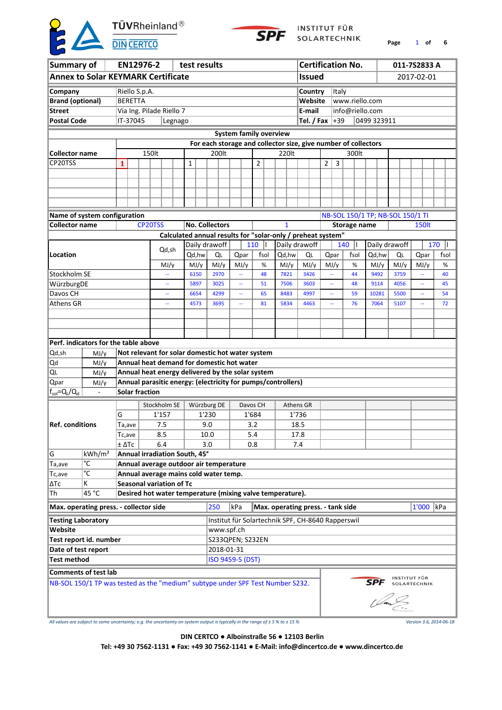TÜVRheinland<sup>®</sup>



INSTITUT FÜR SOLARTECHNIK

**Page** 1 **of 6**

|                                                                                |                                           |                 |  | EN12976-2                       |                          |         |        |             | test results                                                                                  |      |  |            |      |                                                                |                   |   |               | <b>Certification No.</b> |                                  |      | 011-7S2833 A        |      |
|--------------------------------------------------------------------------------|-------------------------------------------|-----------------|--|---------------------------------|--------------------------|---------|--------|-------------|-----------------------------------------------------------------------------------------------|------|--|------------|------|----------------------------------------------------------------|-------------------|---|---------------|--------------------------|----------------------------------|------|---------------------|------|
| Summary of                                                                     |                                           |                 |  |                                 |                          |         |        |             |                                                                                               |      |  |            |      |                                                                |                   |   |               |                          |                                  |      |                     |      |
|                                                                                | <b>Annex to Solar KEYMARK Certificate</b> |                 |  |                                 |                          |         |        |             |                                                                                               |      |  |            |      |                                                                | <b>Issued</b>     |   |               |                          |                                  |      | 2017-02-01          |      |
| Company                                                                        |                                           |                 |  | Riello S.p.A.                   |                          |         |        |             |                                                                                               |      |  |            |      |                                                                | Country           |   | Italy         |                          |                                  |      |                     |      |
| <b>Brand (optional)</b>                                                        |                                           | <b>BERETTA</b>  |  |                                 |                          |         |        |             |                                                                                               |      |  |            |      |                                                                | Website           |   |               | www.riello.com           |                                  |      |                     |      |
| <b>Street</b>                                                                  |                                           |                 |  | Via Ing. Pilade Riello 7        |                          |         |        |             |                                                                                               |      |  |            |      |                                                                | E-mail            |   |               | info@riello.com          |                                  |      |                     |      |
| <b>Postal Code</b>                                                             |                                           | IT-37045        |  |                                 |                          | Legnago |        |             |                                                                                               |      |  |            |      |                                                                | Tel. / Fax $ +39$ |   |               |                          | 0499 323911                      |      |                     |      |
|                                                                                |                                           |                 |  |                                 |                          |         |        |             | <b>System family overview</b>                                                                 |      |  |            |      |                                                                |                   |   |               |                          |                                  |      |                     |      |
|                                                                                |                                           |                 |  |                                 |                          |         |        |             |                                                                                               |      |  |            |      | For each storage and collector size, give number of collectors |                   |   |               |                          |                                  |      |                     |      |
| <b>Collector name</b>                                                          |                                           |                 |  | 150lt                           |                          |         |        |             | 200lt                                                                                         |      |  |            |      | 220lt                                                          |                   |   |               | 300lt                    |                                  |      |                     |      |
| CP20TSS                                                                        |                                           | 1               |  |                                 |                          |         | 1      |             |                                                                                               |      |  | 2          |      |                                                                |                   | 2 | $\mathbf{3}$  |                          |                                  |      |                     |      |
|                                                                                |                                           |                 |  |                                 |                          |         |        |             |                                                                                               |      |  |            |      |                                                                |                   |   |               |                          |                                  |      |                     |      |
|                                                                                |                                           |                 |  |                                 |                          |         |        |             |                                                                                               |      |  |            |      |                                                                |                   |   |               |                          |                                  |      |                     |      |
|                                                                                |                                           |                 |  |                                 |                          |         |        |             |                                                                                               |      |  |            |      |                                                                |                   |   |               |                          |                                  |      |                     |      |
|                                                                                |                                           |                 |  |                                 |                          |         |        |             |                                                                                               |      |  |            |      |                                                                |                   |   |               |                          |                                  |      |                     |      |
|                                                                                | Name of system configuration              |                 |  |                                 |                          |         |        |             |                                                                                               |      |  |            |      |                                                                |                   |   |               |                          | NB-SOL 150/1 TP; NB-SOL 150/1 TI |      |                     |      |
| <b>Collector name</b>                                                          |                                           |                 |  | CP20TSS                         |                          |         |        |             | <b>No. Collectors</b>                                                                         |      |  |            |      | $\mathbf{1}$                                                   |                   |   |               | <b>Storage name</b>      |                                  |      | <b>150lt</b>        |      |
|                                                                                |                                           |                 |  |                                 |                          |         |        |             |                                                                                               |      |  |            |      | Calculated annual results for "solar-only / preheat system"    |                   |   |               |                          |                                  |      |                     |      |
|                                                                                |                                           |                 |  |                                 |                          |         |        |             | Daily drawoff                                                                                 |      |  | 110<br>Ш   |      | Daily drawoff                                                  |                   |   |               | 140<br>H                 | Daily drawoff                    |      |                     | 170  |
| Location                                                                       |                                           |                 |  |                                 | Qd,sh                    |         | Qd, hw |             | QL                                                                                            | Qpar |  | fsol       |      | Qd,hw                                                          | QL                |   | Qpar          | fsol                     | Qd,hw                            | QL   | Qpar                | fsol |
|                                                                                |                                           |                 |  |                                 | MJ/y                     |         | MJ/y   |             | MJ/y                                                                                          | MJ/y |  | $\%$       |      | MJ/y                                                           | MJ/y              |   | MJ/y          | %                        | MJ/y                             | MJ/y | MJ/y                | %    |
| Stockholm SE                                                                   |                                           |                 |  |                                 |                          |         | 6150   |             | 2970                                                                                          | ÷.   |  | 48         | 7821 | 3426                                                           |                   |   | 44            | 9492                     | 3759                             | ÷,   | 40                  |      |
| WürzburgDE                                                                     |                                           |                 |  |                                 | Щ,                       |         | 5897   |             | 3025                                                                                          | u.   |  | 51         |      | 7506                                                           | 3603              |   | ÷,            | 48                       | 9114                             | 4056 | ÷.                  | 45   |
| Davos CH                                                                       |                                           |                 |  |                                 | $\overline{\phantom{a}}$ |         | 6654   |             | 4299                                                                                          | μ,   |  | 65         |      | 8483                                                           | 4997              |   | ÷,            | 59                       | 10281                            | 5500 | ÷,                  | 54   |
| Athens GR                                                                      |                                           |                 |  |                                 | 4                        |         | 4573   |             | 3695                                                                                          | Ξ.   |  | 81         |      | 5834                                                           | 4463              |   | $\rightarrow$ | 76                       | 7064                             | 5107 | $\sim$              | 72   |
|                                                                                |                                           |                 |  |                                 |                          |         |        |             |                                                                                               |      |  |            |      |                                                                |                   |   |               |                          |                                  |      |                     |      |
|                                                                                |                                           |                 |  |                                 |                          |         |        |             |                                                                                               |      |  |            |      |                                                                |                   |   |               |                          |                                  |      |                     |      |
|                                                                                |                                           |                 |  |                                 |                          |         |        |             |                                                                                               |      |  |            |      |                                                                |                   |   |               |                          |                                  |      |                     |      |
|                                                                                | Perf. indicators for the table above      |                 |  |                                 |                          |         |        |             |                                                                                               |      |  |            |      |                                                                |                   |   |               |                          |                                  |      |                     |      |
| Qd,sh                                                                          | MJ/y                                      |                 |  |                                 |                          |         |        |             | Not relevant for solar domestic hot water system<br>Annual heat demand for domestic hot water |      |  |            |      |                                                                |                   |   |               |                          |                                  |      |                     |      |
| Qd<br>QL                                                                       | MJ/y                                      |                 |  |                                 |                          |         |        |             | Annual heat energy delivered by the solar system                                              |      |  |            |      |                                                                |                   |   |               |                          |                                  |      |                     |      |
| Qpar                                                                           | MJ/y<br>MJ/y                              |                 |  |                                 |                          |         |        |             |                                                                                               |      |  |            |      | Annual parasitic energy: (electricity for pumps/controllers)   |                   |   |               |                          |                                  |      |                     |      |
| $f_{sol} = Q_{L}/Q_{d}$                                                        |                                           |                 |  | <b>Solar fraction</b>           |                          |         |        |             |                                                                                               |      |  |            |      |                                                                |                   |   |               |                          |                                  |      |                     |      |
|                                                                                |                                           |                 |  |                                 |                          |         |        |             |                                                                                               |      |  |            |      |                                                                |                   |   |               |                          |                                  |      |                     |      |
|                                                                                |                                           |                 |  | Stockholm SE                    |                          |         |        |             | Würzburg DE                                                                                   |      |  | Davos CH   |      |                                                                | Athens GR         |   |               |                          |                                  |      |                     |      |
|                                                                                |                                           | G               |  |                                 | 1'157                    |         |        | 1'230       |                                                                                               |      |  | 1'684      |      |                                                                | 1'736             |   |               |                          |                                  |      |                     |      |
| <b>Ref. conditions</b>                                                         |                                           | Ta,ave          |  |                                 | 7.5                      |         |        | 9.0         |                                                                                               |      |  | 3.2        |      |                                                                | 18.5              |   |               |                          |                                  |      |                     |      |
|                                                                                |                                           | Tc,ave<br>± ΔTc |  |                                 | 8.5<br>6.4               |         |        | 10.0<br>3.0 |                                                                                               |      |  | 5.4<br>0.8 |      |                                                                | 17.8<br>7.4       |   |               |                          |                                  |      |                     |      |
| lG.                                                                            | kWh/m <sup>2</sup>                        |                 |  | Annual irradiation South, 45°   |                          |         |        |             |                                                                                               |      |  |            |      |                                                                |                   |   |               |                          |                                  |      |                     |      |
| Ta,ave                                                                         | °C                                        |                 |  |                                 |                          |         |        |             | Annual average outdoor air temperature                                                        |      |  |            |      |                                                                |                   |   |               |                          |                                  |      |                     |      |
| Tc,ave                                                                         | °C                                        |                 |  |                                 |                          |         |        |             | Annual average mains cold water temp.                                                         |      |  |            |      |                                                                |                   |   |               |                          |                                  |      |                     |      |
| l∆Tc                                                                           | Κ                                         |                 |  | <b>Seasonal variation of Tc</b> |                          |         |        |             |                                                                                               |      |  |            |      |                                                                |                   |   |               |                          |                                  |      |                     |      |
| Th                                                                             | 45 °C                                     |                 |  |                                 |                          |         |        |             |                                                                                               |      |  |            |      | Desired hot water temperature (mixing valve temperature).      |                   |   |               |                          |                                  |      |                     |      |
|                                                                                |                                           |                 |  |                                 |                          |         |        |             | 250                                                                                           | kPa  |  |            |      | Max. operating press. - tank side                              |                   |   |               |                          |                                  |      | 1'000 kPa           |      |
|                                                                                | Max. operating press. - collector side    |                 |  |                                 |                          |         |        |             |                                                                                               |      |  |            |      |                                                                |                   |   |               |                          |                                  |      |                     |      |
| <b>Testing Laboratory</b>                                                      |                                           |                 |  |                                 |                          |         |        |             |                                                                                               |      |  |            |      | Institut für Solartechnik SPF, CH-8640 Rapperswil              |                   |   |               |                          |                                  |      |                     |      |
| Website                                                                        |                                           |                 |  |                                 |                          |         |        |             | www.spf.ch                                                                                    |      |  |            |      |                                                                |                   |   |               |                          |                                  |      |                     |      |
|                                                                                | Test report id. number                    |                 |  |                                 |                          |         |        |             | S233QPEN; S232EN                                                                              |      |  |            |      |                                                                |                   |   |               |                          |                                  |      |                     |      |
| Date of test report                                                            |                                           |                 |  |                                 |                          |         |        |             | 2018-01-31                                                                                    |      |  |            |      |                                                                |                   |   |               |                          |                                  |      |                     |      |
| Test method                                                                    |                                           |                 |  |                                 |                          |         |        |             | ISO 9459-5 (DST)                                                                              |      |  |            |      |                                                                |                   |   |               |                          |                                  |      |                     |      |
|                                                                                | <b>Comments of test lab</b>               |                 |  |                                 |                          |         |        |             |                                                                                               |      |  |            |      |                                                                |                   |   |               |                          |                                  |      | <b>INSTITUT FÜR</b> |      |
| NB-SOL 150/1 TP was tested as the "medium" subtype under SPF Test Number S232. |                                           |                 |  |                                 |                          |         |        |             |                                                                                               |      |  |            |      |                                                                |                   |   |               |                          | <b>SPF</b>                       |      | SOLARTECHNIK        |      |
|                                                                                |                                           |                 |  |                                 |                          |         |        |             |                                                                                               |      |  |            |      |                                                                |                   |   |               |                          |                                  |      |                     |      |
|                                                                                |                                           |                 |  |                                 |                          |         |        |             |                                                                                               |      |  |            |      |                                                                |                   |   |               |                          |                                  |      |                     |      |
|                                                                                |                                           |                 |  |                                 |                          |         |        |             |                                                                                               |      |  |            |      |                                                                |                   |   |               |                          |                                  |      |                     |      |

*All values are subject to some uncertainty; e.g. the uncertainty on system output is typically in the range of ± 5 % to ± 15 % Version 3.6, 2014-06-18*

**DIN CERTCO ● Alboinstraße 56 ● 12103 Berlin**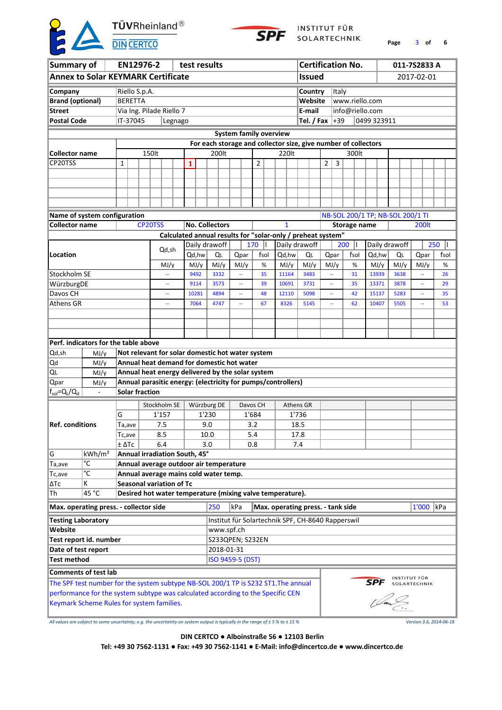

INSTITUT FÜR SOLARTECHNIK

**of 6 Page** 3

| Summary of                  |                                                                                    |                                                     |                                                                                          | EN12976-2                       |         |  |       |       | test results                                                                                                     |     |  |          |  |                                   |       |                   |      |              | <b>Certification No.</b>         |             |               | 011-7S2833 A   |      |
|-----------------------------|------------------------------------------------------------------------------------|-----------------------------------------------------|------------------------------------------------------------------------------------------|---------------------------------|---------|--|-------|-------|------------------------------------------------------------------------------------------------------------------|-----|--|----------|--|-----------------------------------|-------|-------------------|------|--------------|----------------------------------|-------------|---------------|----------------|------|
|                             | <b>Annex to Solar KEYMARK Certificate</b>                                          |                                                     |                                                                                          |                                 |         |  |       |       |                                                                                                                  |     |  |          |  |                                   |       | <b>Issued</b>     |      |              |                                  |             |               | 2017-02-01     |      |
| Company                     |                                                                                    | Riello S.p.A.                                       |                                                                                          |                                 |         |  |       |       |                                                                                                                  |     |  |          |  |                                   |       | Country           |      | <b>Italy</b> |                                  |             |               |                |      |
| <b>Brand (optional)</b>     |                                                                                    | <b>BERETTA</b>                                      |                                                                                          |                                 |         |  |       |       |                                                                                                                  |     |  |          |  |                                   |       | Website           |      |              | www.riello.com                   |             |               |                |      |
| <b>Street</b>               |                                                                                    |                                                     |                                                                                          | Via Ing. Pilade Riello 7        |         |  |       |       |                                                                                                                  |     |  |          |  |                                   |       | E-mail            |      |              | info@riello.com                  |             |               |                |      |
| <b>Postal Code</b>          |                                                                                    | IT-37045                                            |                                                                                          |                                 | Legnago |  |       |       |                                                                                                                  |     |  |          |  |                                   |       | Tel. / Fax $ +39$ |      |              |                                  | 0499 323911 |               |                |      |
|                             |                                                                                    |                                                     |                                                                                          |                                 |         |  |       |       |                                                                                                                  |     |  |          |  |                                   |       |                   |      |              |                                  |             |               |                |      |
|                             |                                                                                    |                                                     |                                                                                          |                                 |         |  |       |       | <b>System family overview</b>                                                                                    |     |  |          |  |                                   |       |                   |      |              |                                  |             |               |                |      |
|                             |                                                                                    |                                                     |                                                                                          |                                 |         |  |       |       | For each storage and collector size, give number of collectors                                                   |     |  |          |  |                                   |       |                   |      |              |                                  |             |               |                |      |
| <b>Collector name</b>       |                                                                                    |                                                     |                                                                                          | 150lt                           |         |  |       |       | 200lt                                                                                                            |     |  |          |  | 220lt                             |       |                   |      |              | 300lt                            |             |               |                |      |
| CP20TSS                     |                                                                                    | 1                                                   |                                                                                          |                                 |         |  | 1     |       |                                                                                                                  |     |  | 2        |  |                                   |       |                   | 2    | 3            |                                  |             |               |                |      |
|                             |                                                                                    |                                                     |                                                                                          |                                 |         |  |       |       |                                                                                                                  |     |  |          |  |                                   |       |                   |      |              |                                  |             |               |                |      |
|                             |                                                                                    |                                                     |                                                                                          |                                 |         |  |       |       |                                                                                                                  |     |  |          |  |                                   |       |                   |      |              |                                  |             |               |                |      |
|                             |                                                                                    |                                                     |                                                                                          |                                 |         |  |       |       |                                                                                                                  |     |  |          |  |                                   |       |                   |      |              |                                  |             |               |                |      |
|                             |                                                                                    |                                                     |                                                                                          |                                 |         |  |       |       |                                                                                                                  |     |  |          |  |                                   |       |                   |      |              |                                  |             |               |                |      |
|                             | Name of system configuration                                                       |                                                     |                                                                                          |                                 |         |  |       |       |                                                                                                                  |     |  |          |  |                                   |       |                   |      |              | NB-SOL 200/1 TP; NB-SOL 200/1 TI |             |               |                |      |
| <b>Collector name</b>       |                                                                                    |                                                     |                                                                                          | CP20TSS                         |         |  |       |       | <b>No. Collectors</b>                                                                                            |     |  |          |  | 1                                 |       |                   |      |              | <b>Storage name</b>              |             |               | 200lt          |      |
|                             |                                                                                    |                                                     |                                                                                          |                                 |         |  |       |       | Calculated annual results for "solar-only / preheat system"                                                      |     |  |          |  |                                   |       |                   |      |              |                                  |             |               |                |      |
|                             |                                                                                    | 170<br>Daily drawoff<br>Ш<br>Daily drawoff<br>Qd,sh |                                                                                          |                                 |         |  |       |       |                                                                                                                  |     |  |          |  |                                   |       |                   |      |              | 200<br>Ш                         |             | Daily drawoff |                | 250  |
| Location                    |                                                                                    |                                                     | Qd, hw<br>QL<br>Qpar<br>fsol<br>Qd,hw                                                    |                                 |         |  |       |       |                                                                                                                  |     |  |          |  |                                   |       |                   |      | Qpar         | fsol                             | Od.hw       | QL            | Qpar           | fsol |
|                             |                                                                                    |                                                     | MJ/y<br>MJ/y<br>MJ/y<br>MJ/y<br>MJ/y<br>%<br>35<br>9492                                  |                                 |         |  |       |       |                                                                                                                  |     |  |          |  |                                   |       |                   | MJ/y |              | %                                | MJ/y        | MJ/y          | MJ/y           | %    |
| Stockholm SE                |                                                                                    |                                                     |                                                                                          |                                 |         |  |       |       | 3332                                                                                                             |     |  |          |  | 11164                             |       | 3483              |      |              | 31                               | 13939       | 3638          | Щ,             | 26   |
| WürzburgDE                  |                                                                                    |                                                     |                                                                                          |                                 | ÷,      |  | 9114  |       | 3573                                                                                                             |     |  | 39       |  | 10691                             |       | 3731              |      |              | 35                               | 13371       | 3878          | Щ,             | 29   |
| Davos CH                    |                                                                                    |                                                     |                                                                                          |                                 |         |  | 10281 |       | 4894                                                                                                             |     |  | 48       |  | 12110                             |       | 5098              |      |              | 42                               | 15137       | 5283          | $\overline{a}$ | 35   |
| Athens GR                   |                                                                                    |                                                     |                                                                                          |                                 |         |  | 7064  |       | 4747                                                                                                             |     |  | 67       |  | 8326                              |       | 5145              |      |              | 62                               | 10407       | 5505          |                | 53   |
|                             |                                                                                    |                                                     |                                                                                          |                                 |         |  |       |       |                                                                                                                  |     |  |          |  |                                   |       |                   |      |              |                                  |             |               |                |      |
|                             |                                                                                    |                                                     |                                                                                          |                                 |         |  |       |       |                                                                                                                  |     |  |          |  |                                   |       |                   |      |              |                                  |             |               |                |      |
|                             |                                                                                    |                                                     |                                                                                          |                                 |         |  |       |       |                                                                                                                  |     |  |          |  |                                   |       |                   |      |              |                                  |             |               |                |      |
|                             |                                                                                    |                                                     | Perf. indicators for the table above<br>Not relevant for solar domestic hot water system |                                 |         |  |       |       |                                                                                                                  |     |  |          |  |                                   |       |                   |      |              |                                  |             |               |                |      |
| Qd,sh                       | MJ/y                                                                               |                                                     |                                                                                          |                                 |         |  |       |       |                                                                                                                  |     |  |          |  |                                   |       |                   |      |              |                                  |             |               |                |      |
| Qd                          | MJ/y                                                                               |                                                     |                                                                                          |                                 |         |  |       |       | Annual heat demand for domestic hot water                                                                        |     |  |          |  |                                   |       |                   |      |              |                                  |             |               |                |      |
| QL                          | MJ/y                                                                               |                                                     |                                                                                          |                                 |         |  |       |       | Annual heat energy delivered by the solar system<br>Annual parasitic energy: (electricity for pumps/controllers) |     |  |          |  |                                   |       |                   |      |              |                                  |             |               |                |      |
| Qpar<br>$f_{sol} = Q_L/Q_d$ | MJ/y<br>$\overline{a}$                                                             |                                                     |                                                                                          | <b>Solar fraction</b>           |         |  |       |       |                                                                                                                  |     |  |          |  |                                   |       |                   |      |              |                                  |             |               |                |      |
|                             |                                                                                    |                                                     |                                                                                          |                                 |         |  |       |       |                                                                                                                  |     |  |          |  |                                   |       |                   |      |              |                                  |             |               |                |      |
|                             |                                                                                    |                                                     |                                                                                          | Stockholm SE                    |         |  |       |       | Würzburg DE                                                                                                      |     |  | Davos CH |  | Athens GR                         |       |                   |      |              |                                  |             |               |                |      |
|                             |                                                                                    | G                                                   |                                                                                          |                                 | 1'157   |  |       | 1'230 |                                                                                                                  |     |  | 1'684    |  |                                   | 1'736 |                   |      |              |                                  |             |               |                |      |
| <b>Ref. conditions</b>      |                                                                                    | Ta,ave                                              |                                                                                          |                                 | 7.5     |  |       | 9.0   |                                                                                                                  |     |  | 3.2      |  |                                   | 18.5  |                   |      |              |                                  |             |               |                |      |
|                             |                                                                                    | Tc,ave                                              |                                                                                          |                                 | 8.5     |  |       | 10.0  |                                                                                                                  |     |  | 5.4      |  |                                   | 17.8  |                   |      |              |                                  |             |               |                |      |
|                             |                                                                                    | $±$ $\Delta$ Tc                                     |                                                                                          |                                 | 6.4     |  |       | 3.0   |                                                                                                                  |     |  | 0.8      |  |                                   | 7.4   |                   |      |              |                                  |             |               |                |      |
| G                           | kWh/m <sup>2</sup>                                                                 |                                                     |                                                                                          | Annual irradiation South, 45°   |         |  |       |       |                                                                                                                  |     |  |          |  |                                   |       |                   |      |              |                                  |             |               |                |      |
| Ta, ave                     | °C                                                                                 |                                                     |                                                                                          |                                 |         |  |       |       | Annual average outdoor air temperature                                                                           |     |  |          |  |                                   |       |                   |      |              |                                  |             |               |                |      |
| Tc,ave                      | °C                                                                                 |                                                     |                                                                                          |                                 |         |  |       |       | Annual average mains cold water temp.                                                                            |     |  |          |  |                                   |       |                   |      |              |                                  |             |               |                |      |
| ΔТс                         | K<br>45 °C                                                                         |                                                     |                                                                                          | <b>Seasonal variation of Tc</b> |         |  |       |       |                                                                                                                  |     |  |          |  |                                   |       |                   |      |              |                                  |             |               |                |      |
| Th                          |                                                                                    |                                                     |                                                                                          |                                 |         |  |       |       | Desired hot water temperature (mixing valve temperature).                                                        |     |  |          |  |                                   |       |                   |      |              |                                  |             |               |                |      |
|                             | Max. operating press. - collector side                                             |                                                     |                                                                                          |                                 |         |  |       |       | 250                                                                                                              | kPa |  |          |  | Max. operating press. - tank side |       |                   |      |              |                                  |             |               | 1'000 kPa      |      |
| <b>Testing Laboratory</b>   |                                                                                    |                                                     |                                                                                          |                                 |         |  |       |       | Institut für Solartechnik SPF, CH-8640 Rapperswil                                                                |     |  |          |  |                                   |       |                   |      |              |                                  |             |               |                |      |
| Website                     |                                                                                    |                                                     |                                                                                          |                                 |         |  |       |       | www.spf.ch                                                                                                       |     |  |          |  |                                   |       |                   |      |              |                                  |             |               |                |      |
| Test report id. number      |                                                                                    |                                                     |                                                                                          |                                 |         |  |       |       | S233QPEN; S232EN                                                                                                 |     |  |          |  |                                   |       |                   |      |              |                                  |             |               |                |      |
| Date of test report         |                                                                                    |                                                     |                                                                                          |                                 |         |  |       |       | 2018-01-31                                                                                                       |     |  |          |  |                                   |       |                   |      |              |                                  |             |               |                |      |
| <b>Test method</b>          |                                                                                    |                                                     |                                                                                          |                                 |         |  |       |       | ISO 9459-5 (DST)                                                                                                 |     |  |          |  |                                   |       |                   |      |              |                                  |             |               |                |      |
|                             | <b>Comments of test lab</b>                                                        |                                                     |                                                                                          |                                 |         |  |       |       |                                                                                                                  |     |  |          |  |                                   |       |                   |      |              |                                  |             |               |                |      |
|                             | The SPF test number for the system subtype NB-SOL 200/1 TP is S232 ST1. The annual |                                                     |                                                                                          |                                 |         |  |       |       |                                                                                                                  |     |  |          |  |                                   |       |                   |      |              |                                  | <b>SPF</b>  | INSTITUT FÜR  | SOLARTECHNIK   |      |
|                             | performance for the system subtype was calculated according to the Specific CEN    |                                                     |                                                                                          |                                 |         |  |       |       |                                                                                                                  |     |  |          |  |                                   |       |                   |      |              |                                  |             |               |                |      |
|                             | Keymark Scheme Rules for system families.                                          |                                                     |                                                                                          |                                 |         |  |       |       |                                                                                                                  |     |  |          |  |                                   |       |                   |      |              |                                  |             |               |                |      |
|                             |                                                                                    |                                                     |                                                                                          |                                 |         |  |       |       |                                                                                                                  |     |  |          |  |                                   |       |                   |      |              |                                  |             |               |                |      |
|                             |                                                                                    |                                                     |                                                                                          |                                 |         |  |       |       |                                                                                                                  |     |  |          |  |                                   |       |                   |      |              |                                  |             |               |                |      |

*All values are subject to some uncertainty; e.g. the uncertainty on system output is typically in the range of ± 5 % to ± 15 % Version 3.6, 2014-06-18*

**DIN CERTCO ● Alboinstraße 56 ● 12103 Berlin**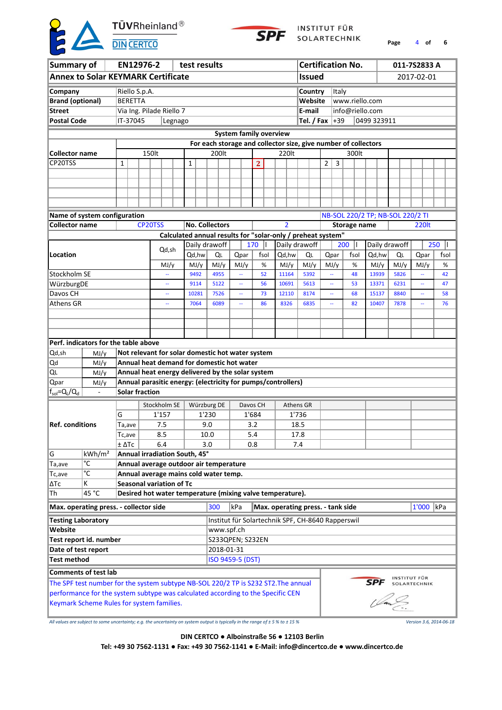

INSTITUT FÜR SOLARTECHNIK

**Page** 4 **of 6**

| Summary of                |                                                                                                                              |                                      |                                                             | EN12976-2                       |         |                         | test results |                                                                |      |       |                |  |                                                   |               |              |                   |              | <b>Certification No.</b> |                                  |      |  | 011-7S2833 A        |    |
|---------------------------|------------------------------------------------------------------------------------------------------------------------------|--------------------------------------|-------------------------------------------------------------|---------------------------------|---------|-------------------------|--------------|----------------------------------------------------------------|------|-------|----------------|--|---------------------------------------------------|---------------|--------------|-------------------|--------------|--------------------------|----------------------------------|------|--|---------------------|----|
|                           | <b>Annex to Solar KEYMARK Certificate</b>                                                                                    |                                      |                                                             |                                 |         |                         |              |                                                                |      |       |                |  |                                                   | <b>Issued</b> |              |                   |              |                          |                                  |      |  | 2017-02-01          |    |
| Company                   |                                                                                                                              | Riello S.p.A.                        |                                                             |                                 |         |                         |              |                                                                |      |       |                |  |                                                   | Country       |              |                   | <b>Italy</b> |                          |                                  |      |  |                     |    |
| <b>Brand (optional)</b>   |                                                                                                                              | <b>BERETTA</b>                       |                                                             |                                 |         |                         |              |                                                                |      |       |                |  |                                                   | Website       |              |                   |              | www.riello.com           |                                  |      |  |                     |    |
| <b>Street</b>             |                                                                                                                              |                                      |                                                             | Via Ing. Pilade Riello 7        |         |                         |              |                                                                |      |       |                |  |                                                   | E-mail        |              |                   |              | info@riello.com          |                                  |      |  |                     |    |
| <b>Postal Code</b>        |                                                                                                                              | IT-37045                             |                                                             |                                 | Legnago |                         |              |                                                                |      |       |                |  |                                                   |               |              | Tel. / Fax $ +39$ |              |                          | 0499 323911                      |      |  |                     |    |
|                           |                                                                                                                              |                                      |                                                             |                                 |         |                         |              |                                                                |      |       |                |  | <b>System family overview</b>                     |               |              |                   |              |                          |                                  |      |  |                     |    |
|                           |                                                                                                                              |                                      |                                                             |                                 |         |                         |              | For each storage and collector size, give number of collectors |      |       |                |  |                                                   |               |              |                   |              |                          |                                  |      |  |                     |    |
| <b>Collector name</b>     |                                                                                                                              |                                      |                                                             | 150lt                           |         |                         |              | 200lt                                                          |      |       |                |  | 220lt                                             |               |              |                   |              | 300lt                    |                                  |      |  |                     |    |
| CP20TSS                   |                                                                                                                              |                                      |                                                             |                                 |         |                         |              |                                                                |      |       |                |  |                                                   |               |              |                   | 3            |                          |                                  |      |  |                     |    |
|                           |                                                                                                                              | 1                                    |                                                             |                                 |         |                         | 1            |                                                                |      |       | $\overline{2}$ |  |                                                   |               |              | 2                 |              |                          |                                  |      |  |                     |    |
|                           |                                                                                                                              |                                      |                                                             |                                 |         |                         |              |                                                                |      |       |                |  |                                                   |               |              |                   |              |                          |                                  |      |  |                     |    |
|                           |                                                                                                                              |                                      |                                                             |                                 |         |                         |              |                                                                |      |       |                |  |                                                   |               |              |                   |              |                          |                                  |      |  |                     |    |
|                           |                                                                                                                              |                                      |                                                             |                                 |         |                         |              |                                                                |      |       |                |  |                                                   |               |              |                   |              |                          |                                  |      |  |                     |    |
|                           |                                                                                                                              |                                      |                                                             |                                 |         |                         |              |                                                                |      |       |                |  |                                                   |               |              |                   |              |                          |                                  |      |  |                     |    |
|                           | Name of system configuration                                                                                                 |                                      |                                                             |                                 |         |                         |              |                                                                |      |       |                |  |                                                   |               |              |                   |              |                          | NB-SOL 220/2 TP; NB-SOL 220/2 TI |      |  |                     |    |
| <b>Collector name</b>     |                                                                                                                              | <b>No. Collectors</b>                |                                                             |                                 |         | $\overline{\mathbf{z}}$ |              |                                                                |      |       | Storage name   |  |                                                   |               | <b>220lt</b> |                   |              |                          |                                  |      |  |                     |    |
|                           |                                                                                                                              |                                      | Calculated annual results for "solar-only / preheat system" |                                 |         |                         |              |                                                                |      |       |                |  |                                                   |               |              |                   |              |                          |                                  |      |  |                     |    |
|                           |                                                                                                                              |                                      | Daily drawoff                                               |                                 |         | 170                     | Ш            | Daily drawoff                                                  |      |       |                |  | 200<br>Ш                                          | Daily drawoff |              |                   | 250          |                          |                                  |      |  |                     |    |
| Location                  |                                                                                                                              |                                      | Qd, hw<br>QL                                                | Qpar                            |         | fsol                    |              | Qd,hw                                                          | QL   |       | Qpar           |  | fsol                                              | Qd,hw         | QL           |                   | Qpar         | fsol                     |                                  |      |  |                     |    |
|                           |                                                                                                                              |                                      |                                                             |                                 | MJ/y    |                         | MJ/y         | MJ/y                                                           | MJ/y |       | %              |  | MJ/y                                              | MJ/y          |              | MJ/y              |              | %                        | MJ/y                             | MJ/y |  | MJ/y                | %  |
| Stockholm SE              |                                                                                                                              |                                      |                                                             |                                 |         |                         | 9492         | 4955                                                           |      |       | 52             |  | 11164                                             | 5392          |              |                   |              | 48                       | 13939                            | 5826 |  | ω.                  | 42 |
| WürzburgDE                |                                                                                                                              |                                      |                                                             |                                 |         |                         | 9114         | 5122                                                           |      |       | 56             |  | 10691                                             | 5613          |              |                   |              | 53                       | 13371                            | 6231 |  | $\overline{a}$      | 47 |
| Davos CH                  |                                                                                                                              |                                      |                                                             |                                 |         |                         | 10281        | 7526                                                           |      |       | 73             |  | 12110                                             | 8174          |              |                   |              | 68                       | 15137                            | 8840 |  |                     | 58 |
| Athens GR                 |                                                                                                                              |                                      |                                                             |                                 |         |                         | 7064         | 6089                                                           |      |       | 86             |  | 8326                                              | 6835          |              |                   |              | 82                       | 10407                            | 7878 |  |                     | 76 |
|                           |                                                                                                                              |                                      |                                                             |                                 |         |                         |              |                                                                |      |       |                |  |                                                   |               |              |                   |              |                          |                                  |      |  |                     |    |
|                           |                                                                                                                              |                                      |                                                             |                                 |         |                         |              |                                                                |      |       |                |  |                                                   |               |              |                   |              |                          |                                  |      |  |                     |    |
|                           |                                                                                                                              |                                      |                                                             |                                 |         |                         |              |                                                                |      |       |                |  |                                                   |               |              |                   |              |                          |                                  |      |  |                     |    |
|                           |                                                                                                                              | Perf. indicators for the table above |                                                             |                                 |         |                         |              |                                                                |      |       |                |  |                                                   |               |              |                   |              |                          |                                  |      |  |                     |    |
| Qd,sh                     | MJ/y                                                                                                                         |                                      | Not relevant for solar domestic hot water system            |                                 |         |                         |              |                                                                |      |       |                |  |                                                   |               |              |                   |              |                          |                                  |      |  |                     |    |
| Qd                        | MJ/y                                                                                                                         |                                      |                                                             |                                 |         |                         |              | Annual heat demand for domestic hot water                      |      |       |                |  |                                                   |               |              |                   |              |                          |                                  |      |  |                     |    |
| QL                        | MJ/y                                                                                                                         |                                      |                                                             |                                 |         |                         |              | Annual heat energy delivered by the solar system               |      |       |                |  |                                                   |               |              |                   |              |                          |                                  |      |  |                     |    |
| Qpar                      | MJ/y                                                                                                                         |                                      |                                                             |                                 |         |                         |              | Annual parasitic energy: (electricity for pumps/controllers)   |      |       |                |  |                                                   |               |              |                   |              |                          |                                  |      |  |                     |    |
| $ f_{sol} = Q_L/Q_d$      | $\overline{a}$                                                                                                               |                                      |                                                             | <b>Solar fraction</b>           |         |                         |              |                                                                |      |       |                |  |                                                   |               |              |                   |              |                          |                                  |      |  |                     |    |
|                           |                                                                                                                              |                                      |                                                             |                                 |         |                         |              |                                                                |      |       |                |  |                                                   |               |              |                   |              |                          |                                  |      |  |                     |    |
|                           |                                                                                                                              |                                      |                                                             | Stockholm SE                    |         |                         |              | Würzburg DE                                                    |      |       | Davos CH       |  | Athens GR                                         |               |              |                   |              |                          |                                  |      |  |                     |    |
|                           |                                                                                                                              | G                                    |                                                             |                                 | 1'157   |                         |              | 1'230                                                          |      | 1'684 |                |  |                                                   | 1'736         |              |                   |              |                          |                                  |      |  |                     |    |
| <b>Ref. conditions</b>    |                                                                                                                              | Ta,ave                               |                                                             |                                 | 7.5     |                         |              | 9.0                                                            |      |       | 3.2            |  |                                                   | 18.5          |              |                   |              |                          |                                  |      |  |                     |    |
|                           |                                                                                                                              | $Tc,$ ave                            |                                                             |                                 | 8.5     |                         |              | 10.0                                                           |      | 5.4   |                |  |                                                   | 17.8          |              |                   |              |                          |                                  |      |  |                     |    |
|                           |                                                                                                                              | ± ΔTc                                |                                                             |                                 | 6.4     |                         |              | 3.0                                                            |      |       | 0.8            |  |                                                   | 7.4           |              |                   |              |                          |                                  |      |  |                     |    |
| lG.                       | kWh/m <sup>2</sup>                                                                                                           |                                      |                                                             | Annual irradiation South, 45°   |         |                         |              |                                                                |      |       |                |  |                                                   |               |              |                   |              |                          |                                  |      |  |                     |    |
| Ta,ave                    | °C                                                                                                                           |                                      |                                                             |                                 |         |                         |              | Annual average outdoor air temperature                         |      |       |                |  |                                                   |               |              |                   |              |                          |                                  |      |  |                     |    |
| Tc,ave                    | °C                                                                                                                           |                                      |                                                             |                                 |         |                         |              | Annual average mains cold water temp.                          |      |       |                |  |                                                   |               |              |                   |              |                          |                                  |      |  |                     |    |
| ∣∆Tc                      | Κ                                                                                                                            |                                      |                                                             | <b>Seasonal variation of Tc</b> |         |                         |              |                                                                |      |       |                |  |                                                   |               |              |                   |              |                          |                                  |      |  |                     |    |
| Th                        | 45 °C                                                                                                                        |                                      |                                                             |                                 |         |                         |              | Desired hot water temperature (mixing valve temperature).      |      |       |                |  |                                                   |               |              |                   |              |                          |                                  |      |  |                     |    |
|                           | Max. operating press. - collector side                                                                                       |                                      |                                                             |                                 |         |                         |              | 300                                                            | kPa  |       |                |  | Max. operating press. - tank side                 |               |              |                   |              |                          |                                  |      |  | $1'000$ kPa         |    |
| <b>Testing Laboratory</b> |                                                                                                                              |                                      |                                                             |                                 |         |                         |              |                                                                |      |       |                |  | Institut für Solartechnik SPF, CH-8640 Rapperswil |               |              |                   |              |                          |                                  |      |  |                     |    |
| Website                   |                                                                                                                              |                                      |                                                             |                                 |         |                         |              | www.spf.ch                                                     |      |       |                |  |                                                   |               |              |                   |              |                          |                                  |      |  |                     |    |
| Test report id. number    |                                                                                                                              |                                      |                                                             |                                 |         |                         |              | S233QPEN; S232EN                                               |      |       |                |  |                                                   |               |              |                   |              |                          |                                  |      |  |                     |    |
| Date of test report       |                                                                                                                              |                                      |                                                             |                                 |         |                         |              | 2018-01-31                                                     |      |       |                |  |                                                   |               |              |                   |              |                          |                                  |      |  |                     |    |
| Test method               |                                                                                                                              |                                      |                                                             |                                 |         |                         |              | ISO 9459-5 (DST)                                               |      |       |                |  |                                                   |               |              |                   |              |                          |                                  |      |  |                     |    |
|                           | <b>Comments of test lab</b>                                                                                                  |                                      |                                                             |                                 |         |                         |              |                                                                |      |       |                |  |                                                   |               |              |                   |              |                          |                                  |      |  |                     |    |
|                           |                                                                                                                              |                                      |                                                             |                                 |         |                         |              |                                                                |      |       |                |  |                                                   |               |              |                   |              |                          |                                  |      |  | <b>INSTITUT FÜR</b> |    |
|                           | The SPF test number for the system subtype NB-SOL 220/2 TP is S232 ST2. The annual                                           |                                      |                                                             |                                 |         |                         |              |                                                                |      |       |                |  |                                                   |               |              |                   |              |                          | <b>SPF</b>                       |      |  | SOLARTECHNIK        |    |
|                           | performance for the system subtype was calculated according to the Specific CEN<br>Keymark Scheme Rules for system families. |                                      |                                                             |                                 |         |                         |              |                                                                |      |       |                |  |                                                   |               |              |                   |              |                          |                                  |      |  |                     |    |
|                           |                                                                                                                              |                                      |                                                             |                                 |         |                         |              |                                                                |      |       |                |  |                                                   |               |              |                   |              |                          |                                  |      |  |                     |    |

*All values are subject to some uncertainty; e.g. the uncertainty on system output is typically in the range of ± 5 % to ± 15 % Version 3.6, 2014-06-18*

**DIN CERTCO ● Alboinstraße 56 ● 12103 Berlin**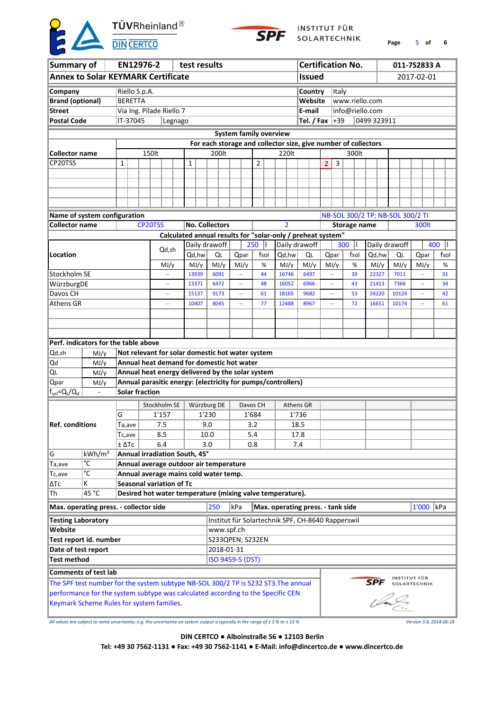

INSTITUT FÜR SOLARTECHNIK

**Page** 5 **of 6**

| Summary of                |                                                                                    |                 |                                      | EN12976-2                       |         |  |        |       | test results                                                   |      |  |          |   |                                   |       |                   |              |              | <b>Certification No.</b> |                                  |       | 011-7S2833 A                 |      |
|---------------------------|------------------------------------------------------------------------------------|-----------------|--------------------------------------|---------------------------------|---------|--|--------|-------|----------------------------------------------------------------|------|--|----------|---|-----------------------------------|-------|-------------------|--------------|--------------|--------------------------|----------------------------------|-------|------------------------------|------|
|                           | <b>Annex to Solar KEYMARK Certificate</b>                                          |                 |                                      |                                 |         |  |        |       |                                                                |      |  |          |   |                                   |       | <b>Issued</b>     |              |              |                          |                                  |       | 2017-02-01                   |      |
| Company                   |                                                                                    | Riello S.p.A.   |                                      |                                 |         |  |        |       |                                                                |      |  |          |   |                                   |       | Country           |              | <b>Italy</b> |                          |                                  |       |                              |      |
| <b>Brand (optional)</b>   |                                                                                    | <b>BERETTA</b>  |                                      |                                 |         |  |        |       |                                                                |      |  |          |   |                                   |       | Website           |              |              | www.riello.com           |                                  |       |                              |      |
| <b>Street</b>             |                                                                                    |                 |                                      | Via Ing. Pilade Riello 7        |         |  |        |       |                                                                |      |  |          |   |                                   |       | E-mail            |              |              | info@riello.com          |                                  |       |                              |      |
| <b>Postal Code</b>        |                                                                                    | IT-37045        |                                      |                                 | Legnago |  |        |       |                                                                |      |  |          |   |                                   |       | Tel. / Fax $ +39$ |              |              |                          | 0499 323911                      |       |                              |      |
|                           |                                                                                    |                 |                                      |                                 |         |  |        |       |                                                                |      |  |          |   | <b>System family overview</b>     |       |                   |              |              |                          |                                  |       |                              |      |
|                           |                                                                                    |                 |                                      |                                 |         |  |        |       | For each storage and collector size, give number of collectors |      |  |          |   |                                   |       |                   |              |              |                          |                                  |       |                              |      |
| <b>Collector name</b>     |                                                                                    |                 |                                      | 150lt                           |         |  |        |       | 200lt                                                          |      |  |          |   | 220lt                             |       |                   |              |              | 300lt                    |                                  |       |                              |      |
| CP20TSS                   |                                                                                    | 1               |                                      |                                 |         |  | 1      |       |                                                                |      |  | 2        |   |                                   |       |                   | $\mathbf{2}$ | 3            |                          |                                  |       |                              |      |
|                           |                                                                                    |                 |                                      |                                 |         |  |        |       |                                                                |      |  |          |   |                                   |       |                   |              |              |                          |                                  |       |                              |      |
|                           |                                                                                    |                 |                                      |                                 |         |  |        |       |                                                                |      |  |          |   |                                   |       |                   |              |              |                          |                                  |       |                              |      |
|                           |                                                                                    |                 |                                      |                                 |         |  |        |       |                                                                |      |  |          |   |                                   |       |                   |              |              |                          |                                  |       |                              |      |
|                           |                                                                                    |                 |                                      |                                 |         |  |        |       |                                                                |      |  |          |   |                                   |       |                   |              |              |                          |                                  |       |                              |      |
|                           | Name of system configuration                                                       |                 |                                      |                                 |         |  |        |       |                                                                |      |  |          |   |                                   |       |                   |              |              |                          | NB-SOL 300/2 TP; NB-SOL 300/2 TI |       |                              |      |
| <b>Collector name</b>     |                                                                                    |                 |                                      | CP20TSS                         |         |  |        |       | <b>No. Collectors</b>                                          |      |  |          |   | $\overline{2}$                    |       |                   |              |              | <b>Storage name</b>      |                                  |       | 300lt                        |      |
|                           |                                                                                    |                 |                                      |                                 |         |  |        |       | Calculated annual results for "solar-only / preheat system"    |      |  |          |   |                                   |       |                   |              |              |                          |                                  |       |                              |      |
|                           |                                                                                    |                 |                                      |                                 |         |  |        |       | Daily drawoff                                                  |      |  | 250      | Ш | Daily drawoff                     |       |                   |              |              | 300<br>Ш                 | Daily drawoff                    |       |                              | 400  |
| Location                  |                                                                                    |                 |                                      |                                 | Qd,sh   |  | Qd, hw |       | QL                                                             | Qpar |  | fsol     |   | Qd,hw                             |       | QL                | Qpar         |              | fsol                     | Qd,hw                            | QL    | Qpar                         | fsol |
|                           |                                                                                    |                 |                                      |                                 | MJ/y    |  | MJ/y   |       | MJ/y                                                           | MJ/y |  | %        |   | MJ/y                              |       | MJ/y              | MJ/y         |              | %                        | MJ/y                             | MJ/y  | MJ/y                         | %    |
| Stockholm SE              |                                                                                    |                 |                                      |                                 |         |  | 13939  |       | 6091                                                           |      |  | 44       |   | 16746                             |       | 6497              |              |              | 39                       | 22327                            | 7011  | 44                           | 31   |
| WürzburgDE                |                                                                                    |                 |                                      |                                 |         |  | 13371  |       | 6472                                                           |      |  | 48       |   | 16052                             |       | 6966              |              |              | 43                       | 21413                            | 7366  |                              | 34   |
| Davos CH                  |                                                                                    |                 |                                      |                                 |         |  | 15137  |       | 9173                                                           |      |  | 61       |   | 18165                             |       | 9682              |              |              | 53                       | 24220                            | 10124 | μ,                           | 42   |
| Athens GR                 |                                                                                    |                 |                                      |                                 |         |  | 10407  |       | 8045                                                           |      |  | 77       |   | 12488                             |       | 8967              |              |              | 72                       | 16651                            | 10174 |                              | 61   |
|                           |                                                                                    |                 |                                      |                                 |         |  |        |       |                                                                |      |  |          |   |                                   |       |                   |              |              |                          |                                  |       |                              |      |
|                           |                                                                                    |                 |                                      |                                 |         |  |        |       |                                                                |      |  |          |   |                                   |       |                   |              |              |                          |                                  |       |                              |      |
|                           |                                                                                    |                 |                                      |                                 |         |  |        |       |                                                                |      |  |          |   |                                   |       |                   |              |              |                          |                                  |       |                              |      |
|                           |                                                                                    |                 | Perf. indicators for the table above |                                 |         |  |        |       |                                                                |      |  |          |   |                                   |       |                   |              |              |                          |                                  |       |                              |      |
| Qd,sh                     | MJ/y                                                                               |                 |                                      |                                 |         |  |        |       | Not relevant for solar domestic hot water system               |      |  |          |   |                                   |       |                   |              |              |                          |                                  |       |                              |      |
| Qd                        | MJ/y                                                                               |                 |                                      |                                 |         |  |        |       | Annual heat demand for domestic hot water                      |      |  |          |   |                                   |       |                   |              |              |                          |                                  |       |                              |      |
| QL                        | MJ/y                                                                               |                 |                                      |                                 |         |  |        |       | Annual heat energy delivered by the solar system               |      |  |          |   |                                   |       |                   |              |              |                          |                                  |       |                              |      |
| Qpar                      | MJ/y                                                                               |                 |                                      |                                 |         |  |        |       | Annual parasitic energy: (electricity for pumps/controllers)   |      |  |          |   |                                   |       |                   |              |              |                          |                                  |       |                              |      |
| $f_{sol} = Q_L/Q_d$       | $\blacksquare$                                                                     |                 |                                      | <b>Solar fraction</b>           |         |  |        |       |                                                                |      |  |          |   |                                   |       |                   |              |              |                          |                                  |       |                              |      |
|                           |                                                                                    |                 |                                      | Stockholm SE                    |         |  |        |       | Würzburg DE                                                    |      |  | Davos CH |   | Athens GR                         |       |                   |              |              |                          |                                  |       |                              |      |
|                           |                                                                                    | G               |                                      |                                 | 1'157   |  |        | 1'230 |                                                                |      |  | 1'684    |   |                                   | 1'736 |                   |              |              |                          |                                  |       |                              |      |
| <b>Ref. conditions</b>    |                                                                                    | Ta,ave          |                                      |                                 | 7.5     |  |        | 9.0   |                                                                |      |  | 3.2      |   |                                   | 18.5  |                   |              |              |                          |                                  |       |                              |      |
|                           |                                                                                    | I c,ave         |                                      |                                 | 8.5     |  |        | 10.0  |                                                                |      |  | 5.4      |   |                                   | 17.8  |                   |              |              |                          |                                  |       |                              |      |
|                           |                                                                                    | $±$ $\Delta$ Tc |                                      |                                 | 6.4     |  |        | 3.0   |                                                                |      |  | 0.8      |   |                                   | 7.4   |                   |              |              |                          |                                  |       |                              |      |
| G                         | kWh/m <sup>2</sup>                                                                 |                 |                                      | Annual irradiation South, 45°   |         |  |        |       |                                                                |      |  |          |   |                                   |       |                   |              |              |                          |                                  |       |                              |      |
| Ta, ave                   | °C                                                                                 |                 |                                      |                                 |         |  |        |       | Annual average outdoor air temperature                         |      |  |          |   |                                   |       |                   |              |              |                          |                                  |       |                              |      |
| Tc,ave                    | °C                                                                                 |                 |                                      |                                 |         |  |        |       | Annual average mains cold water temp.                          |      |  |          |   |                                   |       |                   |              |              |                          |                                  |       |                              |      |
| ΔTc                       | K                                                                                  |                 |                                      | <b>Seasonal variation of Tc</b> |         |  |        |       |                                                                |      |  |          |   |                                   |       |                   |              |              |                          |                                  |       |                              |      |
| Th                        | 45 °C                                                                              |                 |                                      |                                 |         |  |        |       | Desired hot water temperature (mixing valve temperature).      |      |  |          |   |                                   |       |                   |              |              |                          |                                  |       |                              |      |
|                           | Max. operating press. - collector side                                             |                 |                                      |                                 |         |  |        |       | 250                                                            | kPa  |  |          |   | Max. operating press. - tank side |       |                   |              |              |                          |                                  |       | $1'000$  kPa                 |      |
| <b>Testing Laboratory</b> |                                                                                    |                 |                                      |                                 |         |  |        |       | Institut für Solartechnik SPF, CH-8640 Rapperswil              |      |  |          |   |                                   |       |                   |              |              |                          |                                  |       |                              |      |
| Website                   |                                                                                    |                 |                                      |                                 |         |  |        |       | www.spf.ch                                                     |      |  |          |   |                                   |       |                   |              |              |                          |                                  |       |                              |      |
|                           | Test report id. number                                                             |                 |                                      |                                 |         |  |        |       | S233QPEN; S232EN                                               |      |  |          |   |                                   |       |                   |              |              |                          |                                  |       |                              |      |
| Date of test report       |                                                                                    |                 |                                      |                                 |         |  |        |       | 2018-01-31                                                     |      |  |          |   |                                   |       |                   |              |              |                          |                                  |       |                              |      |
| <b>Test method</b>        |                                                                                    |                 |                                      |                                 |         |  |        |       | ISO 9459-5 (DST)                                               |      |  |          |   |                                   |       |                   |              |              |                          |                                  |       |                              |      |
|                           | <b>Comments of test lab</b>                                                        |                 |                                      |                                 |         |  |        |       |                                                                |      |  |          |   |                                   |       |                   |              |              |                          |                                  |       |                              |      |
|                           | The SPF test number for the system subtype NB-SOL 300/2 TP is S232 ST3. The annual |                 |                                      |                                 |         |  |        |       |                                                                |      |  |          |   |                                   |       |                   |              |              |                          | <b>SPF</b>                       |       | INSTITUT FÜR<br>SOLARTECHNIK |      |
|                           | performance for the system subtype was calculated according to the Specific CEN    |                 |                                      |                                 |         |  |        |       |                                                                |      |  |          |   |                                   |       |                   |              |              |                          |                                  |       |                              |      |
|                           | Keymark Scheme Rules for system families.                                          |                 |                                      |                                 |         |  |        |       |                                                                |      |  |          |   |                                   |       |                   |              |              |                          |                                  |       |                              |      |
|                           |                                                                                    |                 |                                      |                                 |         |  |        |       |                                                                |      |  |          |   |                                   |       |                   |              |              |                          |                                  |       |                              |      |
|                           |                                                                                    |                 |                                      |                                 |         |  |        |       |                                                                |      |  |          |   |                                   |       |                   |              |              |                          |                                  |       |                              |      |

*All values are subject to some uncertainty; e.g. the uncertainty on system output is typically in the range of ± 5 % to ± 15 % Version 3.6, 2014-06-18*

**DIN CERTCO ● Alboinstraße 56 ● 12103 Berlin**